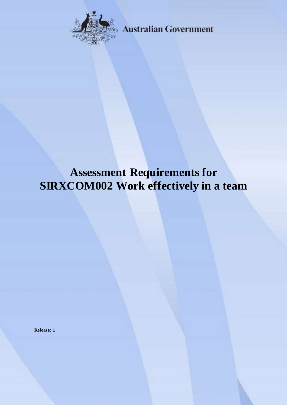

**Australian Government** 

# **Assessment Requirements for SIRXCOM002 Work effectively in a team**

**Release: 1**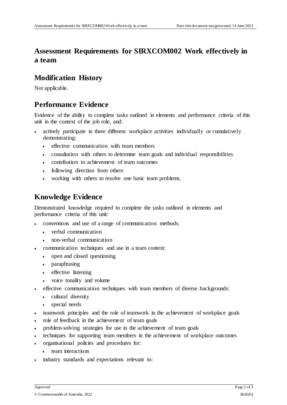## **Assessment Requirements for SIRXCOM002 Work effectively in a team**

## **Modification History**

Not applicable.

## **Performance Evidence**

Evidence of the ability to complete tasks outlined in elements and performance criteria of this unit in the context of the job role, and:

- actively participate in three different workplace activities individually or cumulatively demonstrating:
	- effective communication with team members
	- consultation with others to determine team goals and individual responsibilities
	- contribution to achievement of team outcomes
	- following direction from others
	- working with others to resolve one basic team problems.

## **Knowledge Evidence**

Demonstrated knowledge required to complete the tasks outlined in elements and performance criteria of this unit:

- conventions and use of a range of communication methods:
	- verbal communication
	- non-verbal communication
- communication techniques and use in a team context:
	- open and closed questioning
	- paraphrasing
	- effective listening
	- voice tonality and volume
- effective communication techniques with team members of diverse backgrounds:
	- cultural diversity
	- special needs
- teamwork principles and the role of teamwork in the achievement of workplace goals
- role of feedback in the achievement of team goals
- problem-solving strategies for use in the achievement of team goals
- techniques for supporting team members in the achievement of workplace outcomes
- organisational policies and procedures for:
	- team interactions
- industry standards and expectations relevant to: